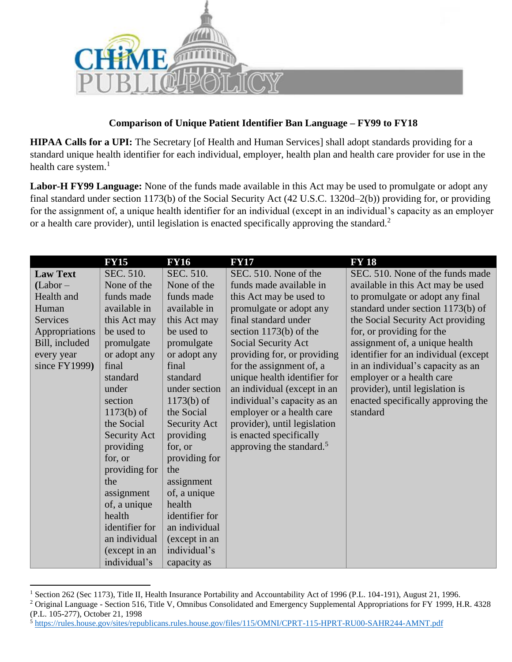

## **Comparison of Unique Patient Identifier Ban Language – FY99 to FY18**

**HIPAA Calls for a UPI:** The Secretary [of Health and Human Services] shall adopt standards providing for a standard unique health identifier for each individual, employer, health plan and health care provider for use in the health care system.<sup>1</sup>

**Labor-H FY99 Language:** None of the funds made available in this Act may be used to promulgate or adopt any final standard under section 1173(b) of the Social Security Act (42 U.S.C. 1320d–2(b)) providing for, or providing for the assignment of, a unique health identifier for an individual (except in an individual's capacity as an employer or a health care provider), until legislation is enacted specifically approving the standard.<sup>2</sup>

|                  | <b>FY15</b>         | <b>FY16</b>    | <b>FY17</b>                          | <b>FY 18</b>                         |
|------------------|---------------------|----------------|--------------------------------------|--------------------------------------|
| <b>Law Text</b>  | SEC. 510.           | SEC. 510.      | SEC. 510. None of the                | SEC. 510. None of the funds made     |
| (Labor –         | None of the         | None of the    | funds made available in              | available in this Act may be used    |
| Health and       | funds made          | funds made     | this Act may be used to              | to promulgate or adopt any final     |
| Human            | available in        | available in   | promulgate or adopt any              | standard under section 1173(b) of    |
| <b>Services</b>  | this Act may        | this Act may   | final standard under                 | the Social Security Act providing    |
| Appropriations   | be used to          | be used to     | section $1173(b)$ of the             | for, or providing for the            |
| Bill, included   | promulgate          | promulgate     | Social Security Act                  | assignment of, a unique health       |
| every year       | or adopt any        | or adopt any   | providing for, or providing          | identifier for an individual (except |
| since $FY1999$ ) | final               | final          | for the assignment of, a             | in an individual's capacity as an    |
|                  | standard            | standard       | unique health identifier for         | employer or a health care            |
|                  | under               | under section  | an individual (except in an          | provider), until legislation is      |
|                  | section             | $1173(b)$ of   | individual's capacity as an          | enacted specifically approving the   |
|                  | $1173(b)$ of        | the Social     | employer or a health care            | standard                             |
|                  | the Social          | Security Act   | provider), until legislation         |                                      |
|                  | <b>Security Act</b> | providing      | is enacted specifically              |                                      |
|                  | providing           | for, or        | approving the standard. <sup>5</sup> |                                      |
|                  | for, or             | providing for  |                                      |                                      |
|                  | providing for       | the            |                                      |                                      |
|                  | the                 | assignment     |                                      |                                      |
|                  | assignment          | of, a unique   |                                      |                                      |
|                  | of, a unique        | health         |                                      |                                      |
|                  | health              | identifier for |                                      |                                      |
|                  | identifier for      | an individual  |                                      |                                      |
|                  | an individual       | (except in an  |                                      |                                      |
|                  | (except in an       | individual's   |                                      |                                      |
|                  | individual's        | capacity as    |                                      |                                      |

<sup>&</sup>lt;sup>1</sup> Section 262 (Sec 1173), Title II, Health Insurance Portability and Accountability Act of 1996 (P.L. 104-191), August 21, 1996. <sup>2</sup> Original Language - Section 516, Title V, Omnibus Consolidated and Emergency Supplemental Appropriations for FY 1999, H.R. 4328 (P.L. 105-277), October 21, 1998

 $\overline{a}$ 

<sup>5</sup> <https://rules.house.gov/sites/republicans.rules.house.gov/files/115/OMNI/CPRT-115-HPRT-RU00-SAHR244-AMNT.pdf>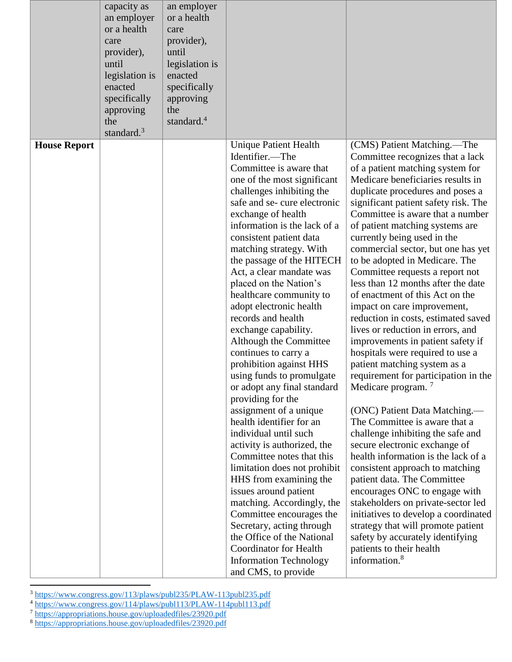|                     | capacity as<br>an employer<br>or a health<br>care<br>provider),<br>until<br>legislation is<br>enacted<br>specifically<br>approving<br>the<br>standard. $3$ | an employer<br>or a health<br>care<br>provider),<br>until<br>legislation is<br>enacted<br>specifically<br>approving<br>the<br>standard. <sup>4</sup> |                                                                            |                                                                                                     |
|---------------------|------------------------------------------------------------------------------------------------------------------------------------------------------------|------------------------------------------------------------------------------------------------------------------------------------------------------|----------------------------------------------------------------------------|-----------------------------------------------------------------------------------------------------|
| <b>House Report</b> |                                                                                                                                                            |                                                                                                                                                      | <b>Unique Patient Health</b><br>Identifier.-The<br>Committee is aware that | (CMS) Patient Matching.—The<br>Committee recognizes that a lack<br>of a patient matching system for |
|                     |                                                                                                                                                            |                                                                                                                                                      | one of the most significant<br>challenges inhibiting the                   | Medicare beneficiaries results in<br>duplicate procedures and poses a                               |
|                     |                                                                                                                                                            |                                                                                                                                                      | safe and se-cure electronic<br>exchange of health                          | significant patient safety risk. The<br>Committee is aware that a number                            |
|                     |                                                                                                                                                            |                                                                                                                                                      | information is the lack of a<br>consistent patient data                    | of patient matching systems are<br>currently being used in the                                      |
|                     |                                                                                                                                                            |                                                                                                                                                      | matching strategy. With                                                    | commercial sector, but one has yet                                                                  |
|                     |                                                                                                                                                            |                                                                                                                                                      | the passage of the HITECH<br>Act, a clear mandate was                      | to be adopted in Medicare. The                                                                      |
|                     |                                                                                                                                                            |                                                                                                                                                      | placed on the Nation's                                                     | Committee requests a report not<br>less than 12 months after the date                               |
|                     |                                                                                                                                                            |                                                                                                                                                      | healthcare community to                                                    | of enactment of this Act on the                                                                     |
|                     |                                                                                                                                                            |                                                                                                                                                      | adopt electronic health                                                    | impact on care improvement,                                                                         |
|                     |                                                                                                                                                            |                                                                                                                                                      | records and health                                                         | reduction in costs, estimated saved                                                                 |
|                     |                                                                                                                                                            |                                                                                                                                                      | exchange capability.<br>Although the Committee                             | lives or reduction in errors, and<br>improvements in patient safety if                              |
|                     |                                                                                                                                                            |                                                                                                                                                      | continues to carry a                                                       | hospitals were required to use a                                                                    |
|                     |                                                                                                                                                            |                                                                                                                                                      | prohibition against HHS                                                    | patient matching system as a                                                                        |
|                     |                                                                                                                                                            |                                                                                                                                                      | using funds to promulgate                                                  | requirement for participation in the                                                                |
|                     |                                                                                                                                                            |                                                                                                                                                      | or adopt any final standard<br>providing for the                           | Medicare program. <sup>7</sup>                                                                      |
|                     |                                                                                                                                                            |                                                                                                                                                      | assignment of a unique                                                     | (ONC) Patient Data Matching.—                                                                       |
|                     |                                                                                                                                                            |                                                                                                                                                      | health identifier for an                                                   | The Committee is aware that a                                                                       |
|                     |                                                                                                                                                            |                                                                                                                                                      | individual until such                                                      | challenge inhibiting the safe and                                                                   |
|                     |                                                                                                                                                            |                                                                                                                                                      | activity is authorized, the<br>Committee notes that this                   | secure electronic exchange of<br>health information is the lack of a                                |
|                     |                                                                                                                                                            |                                                                                                                                                      | limitation does not prohibit                                               | consistent approach to matching                                                                     |
|                     |                                                                                                                                                            |                                                                                                                                                      | HHS from examining the                                                     | patient data. The Committee                                                                         |
|                     |                                                                                                                                                            |                                                                                                                                                      | issues around patient                                                      | encourages ONC to engage with                                                                       |
|                     |                                                                                                                                                            |                                                                                                                                                      | matching. Accordingly, the                                                 | stakeholders on private-sector led                                                                  |
|                     |                                                                                                                                                            |                                                                                                                                                      | Committee encourages the<br>Secretary, acting through                      | initiatives to develop a coordinated<br>strategy that will promote patient                          |
|                     |                                                                                                                                                            |                                                                                                                                                      | the Office of the National                                                 | safety by accurately identifying                                                                    |
|                     |                                                                                                                                                            |                                                                                                                                                      | <b>Coordinator for Health</b>                                              | patients to their health                                                                            |
|                     |                                                                                                                                                            |                                                                                                                                                      | <b>Information Technology</b>                                              | information. <sup>8</sup>                                                                           |
|                     |                                                                                                                                                            |                                                                                                                                                      | and CMS, to provide                                                        |                                                                                                     |

<sup>&</sup>lt;sup>3</sup> <https://www.congress.gov/113/plaws/publ235/PLAW-113publ235.pdf>

 $\overline{a}$ 

<sup>&</sup>lt;sup>4</sup> <https://www.congress.gov/114/plaws/publ113/PLAW-114publ113.pdf>

<sup>&</sup>lt;sup>7</sup> <https://appropriations.house.gov/uploadedfiles/23920.pdf>

<sup>&</sup>lt;sup>8</sup><https://appropriations.house.gov/uploadedfiles/23920.pdf>